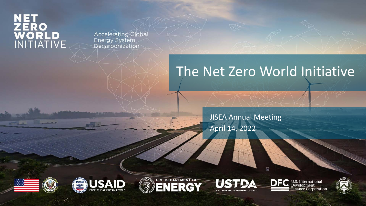# NET<br>ZERO<br>WORLD<br>INITIATIVE

**Accelerating Global Energy System** Decarbonization

# The Net Zero World Initiative

 $\Box$ 

JISEA Annual Meeting April 14, 2022











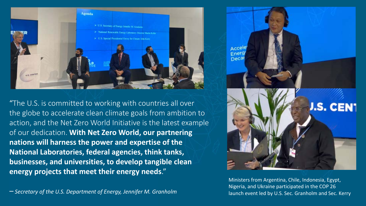

"The U.S. is committed to working with countries all over the globe to accelerate clean climate goals from ambition to action, and the Net Zero World Initiative is the latest example of our dedication. **With Net Zero World, our partnering nations will harness the power and expertise of the National Laboratories, federal agencies, think tanks, businesses, and universities, to develop tangible clean energy projects that meet their energy needs**."



Ministers from Argentina, Chile, Indonesia, Egypt, Nigeria, and Ukraine participated in the COP 26 Nigeria, and Ukraine participated in the COP 26<br>Iaunch event led by U.S. Sec. Granholm and Sec. Kerry الصحيح العربية " Secretary of the U.S. Department of Energy, Jennifer M. Granholm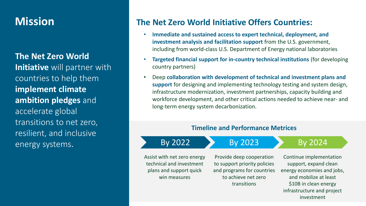## **Mission**

**The Net Zero World Initiative** will partner with countries to help them **implement climate ambition pledges** and accelerate global transitions to net zero, resilient, and inclusive energy systems.

### **The Net Zero World Initiative Offers Countries:**

- **Immediate and sustained access to expert technical, deployment, and investment analysis and facilitation support** from the U.S. government, including from world-class U.S. Department of Energy national laboratories
- **Targeted financial support for in-country technical institutions** (for developing country partners)
- Deep **collaboration with development of technical and investment plans and support** for designing and implementing technology testing and system design, infrastructure modernization, investment partnerships, capacity building and workforce development, and other critical actions needed to achieve near- and long-term energy system decarbonization.

#### **Timeline and Performance Metrices**

### By 2022 By 2023 By 2024

Assist with net zero energy technical and investment plans and support quick win measures

Provide deep cooperation to support priority policies and programs for countries to achieve net zero transitions

investment Continue implementation support, expand clean energy economies and jobs, and mobilize at least \$10B in clean energy infrastructure and project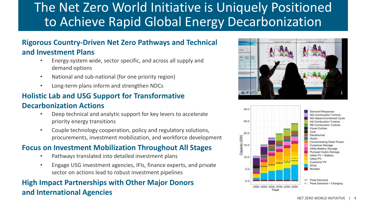## The Net Zero World Initiative is Uniquely Positioned to Achieve Rapid Global Energy Decarbonization

#### **Rigorous Country-Driven Net Zero Pathways and Technical and Investment Plans**

- Energy-system wide, sector specific, and across all supply and demand options
- National and sub-national (for one priority region)
- Long-term plans inform and strengthen NDCs

## **Holistic Lab and USG Support for Transformative**

#### **Decarbonization Actions**

- Deep technical and analytic support for key levers to accelerate priority energy transitions
- Couple technology cooperation, policy and regulatory solutions, procurements, investment mobilization, and workforce development

### **Focus on Investment Mobilization Throughout All Stages**

- Pathways translated into detailed investment plans
- Engage USG investment agencies, IFIs, finance experts, and private sector on actions lead to robust investment pipelines

## **High Impact Partnerships with Other Major Donors and International Agencies**



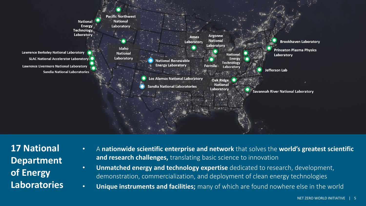

**17 National Department of Energy Laboratories**

- A **nationwide scientific enterprise and network** that solves the **world's greatest scientific and research challenges,** translating basic science to innovation
- **Unmatched energy and technology expertise** dedicated to research, development, demonstration, commercialization, and deployment of clean energy technologies
- **Unique instruments and facilities;** many of which are found nowhere else in the world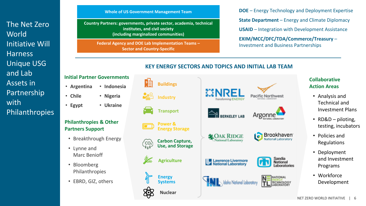The Net Zero **World** Initiative Will Harness Unique USG and Lab Assets in Partnership with Philanthropies

#### **Whole of US Government Management Team**

**Country Partners: governments, private sector, academia, technical institutes, and civil society (including marginalized communities)**

**Federal Agency and DOE Lab Implementation Teams – Sector and Country-Specific**

**DOE** – Energy Technology and Deployment Expertise **State Department** – Energy and Climate Diplomacy **USAID** – Integration with Development Assistance **EXIM/MCC/DFC/TDA/Commerce/Treasury** – Investment and Business Partnerships

#### **KEY ENERGY SECTORS AND TOPICS AND INITIAL LAB TEAM**



#### **Initial Partner Governments**

- **Argentina** • **Indonesia**
- **Chile** • **Nigeria**
- **Egypt** • **Ukraine**

#### **Philanthropies & Other Partners Support**

- Breakthrough Energy
- Lynne and Marc Benioff
- Bloomberg Philanthropies
- EBRD, GIZ, others

#### **Collaborative Action Areas**

- Analysis and Technical and Investment Plans
- RD&D piloting, testing, incubators
- Policies and Regulations
- Deployment and Investment Programs
- Workforce Development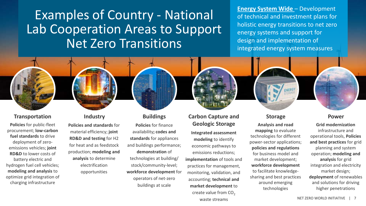Examples of Country - National Lab Cooperation Areas to Support Net Zero Transitions

**Energy System Wide** – Development of technical and investment plans for holistic energy transitions to net zero energy systems and support for design and implementation of integrated energy system measures

#### **Transportation**

**Policies** for public-fleet procurement; **low-carbon fuel standards** to drive deployment of zeroemissions vehicles; **joint RD&D** to lower costs of battery electric and hydrogen fuel cell vehicles; **modeling and analysis** to optimize grid integration of charging infrastructure

#### **Industry**

**Policies and standards** for material efficiency; **joint RD&D and testing** for H2 for heat and as feedstock production; **modeling and analysis** to determine electrification opportunities

#### **Buildings**

**Policies** for finance availability**; codes and standards** for appliances and buildings performance; **demonstration** of technologies at building/ stock/community-level; **workforce development** for operators of net-zero buildings at scale

#### **Integrated assessment modeling** to identify economic pathways to emissions reductions; **implementation** of tools and practices for management, monitoring, validation, and accounting; **technical and market development** to create value from  $CO<sub>2</sub>$ waste streams **Carbon Capture and Geologic Storage**

#### **Storage**

**Analysis and road mapping** to evaluate technologies for different power-sector applications; **policies and regulations**  for business model and market development; **workforce development**  to facilitate knowledgesharing and best practices around emerging technologies

#### **Power**

**Grid modernization**  infrastructure and operational tools, **Policies and best practices** for grid planning and system operation; **modeling and analysis** for grid integration and electricity market design; **deployment** of renewables and solutions for driving higher penetrations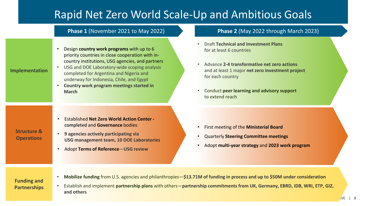## Rapid Net Zero World Scale-Up and Ambitious Goals

#### **Phase 1** (November 2021 to May 2022) **Phase 2** (May 2022 through March 2023)

• Design **country work programs** with up to 6 priority countries in close cooperation with incountry institutions, USG agencies, and partners

#### **Implementation**

- USG and DOE Laboratory-wide scoping analysis completed for Argentina and Nigeria and underway for Indonesia, Chile, and Egypt
- **Country work program meetings started in March**

- Draft **Technical and Investment Plans** for at least 6 countries
- Advance **2-4 transformative net zero actions**  and at least 1 major **net zero investment project** for each country
- Conduct **peer learning and advisory support**  to extend reach

- Established **Net Zero World Action Center completed** and **Governance** bodies
- **9 agencies actively participating via USG management team, 10 DOE Laboratories**
- Adopt **Terms of Reference**—**USG review**
- First meeting of the **Ministerial Board**
- Quarterly **Steering Committee meetings**
- Adopt **multi-year strategy** and **2023 work program**

#### **Funding and Partnerships**

- **Mobilize funding** from U.S. agencies and philanthropies—**\$13.71M of funding in process and up to \$50M under consideration**
- Establish and implement **partnership plans** with others—**partnership commitments from UK, Germany, EBRD, IDB, WRI, ETP, GIZ, and others**

**Structure & Operations**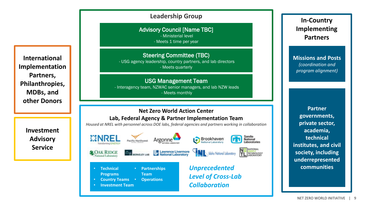**International Implementation Partners, Philanthropies, MDBs, and other Donors**

> **Investment Advisory Service**

#### **Leadership Group**

Advisory Council [Name TBC]

- Ministerial level

- Meets 1 time per year

Steering Committee (TBC)

- USG agency leadership, country partners, and lab directors - Meets quarterly

USG Management Team

- Interagency team, NZWAC senior managers, and lab NZW leads - Meets monthly

#### **Net Zero World Action Center Lab, Federal Agency & Partner Implementation Team**

*Housed at NREL with personnel across DOE labs, federal agencies and partners working in collaboration*



**In-Country Implementing Partners**

**Missions and Posts**  *(coordination and program alignment)*

**Partner governments, private sector, academia, technical institutes, and civil society, including underrepresented communities**